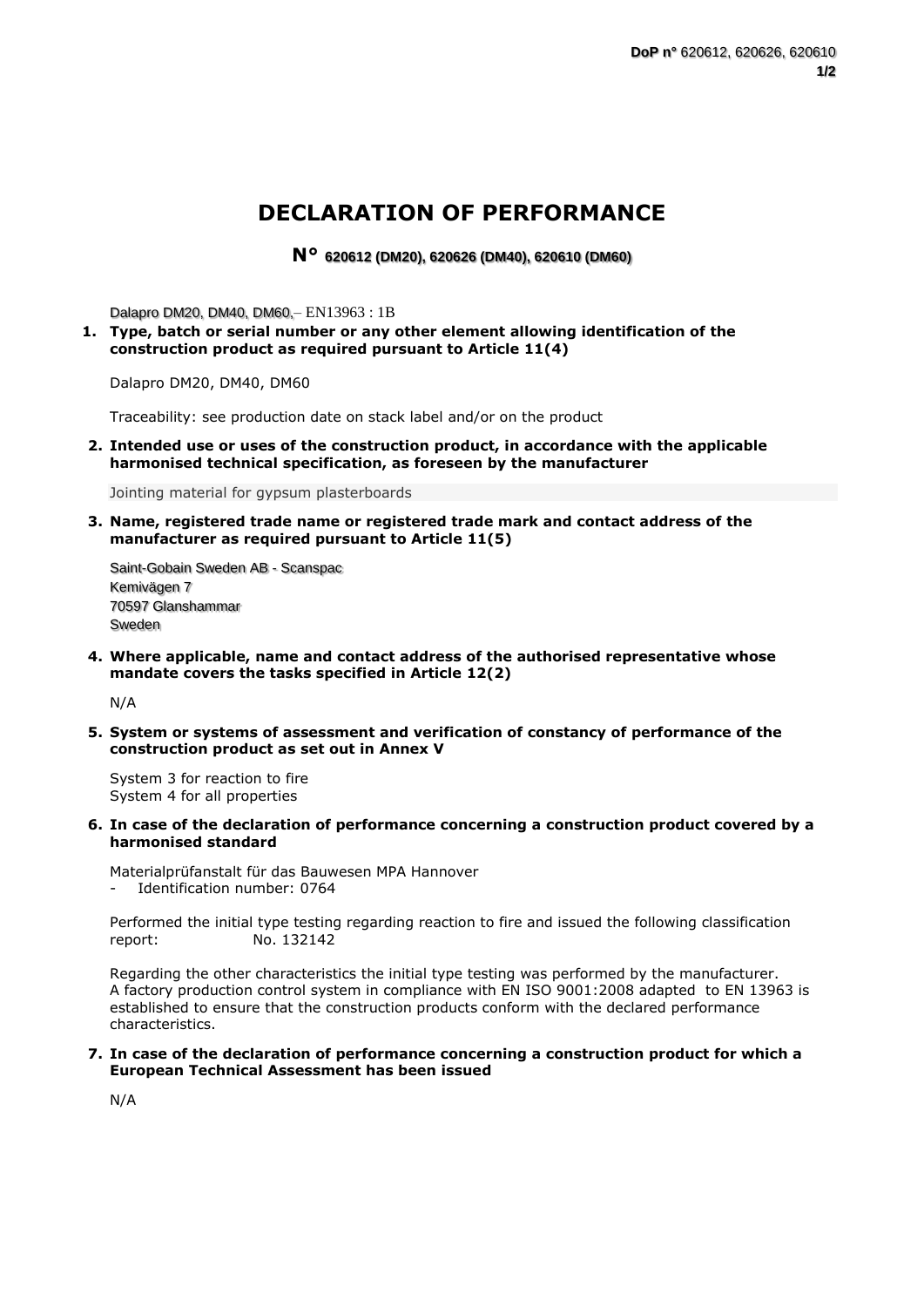## **DECLARATION OF PERFORMANCE**

**N° 620612 (DM20), 620626 (DM40), 620610 (DM60)**

Dalapro DM20, DM40, DM60,– EN13963 : 1B

**1. Type, batch or serial number or any other element allowing identification of the construction product as required pursuant to Article 11(4)**

Dalapro DM20, DM40, DM60

Traceability: see production date on stack label and/or on the product

**2. Intended use or uses of the construction product, in accordance with the applicable harmonised technical specification, as foreseen by the manufacturer**

Jointing material for gypsum plasterboards

**3. Name, registered trade name or registered trade mark and contact address of the manufacturer as required pursuant to Article 11(5)**

Saint-Gobain Sweden AB - Scanspac Kemivägen 7 70597 Glanshammar Sweden

**4. Where applicable, name and contact address of the authorised representative whose mandate covers the tasks specified in Article 12(2)**

N/A

**5. System or systems of assessment and verification of constancy of performance of the construction product as set out in Annex V**

System 3 for reaction to fire System 4 for all properties

- **6. In case of the declaration of performance concerning a construction product covered by a harmonised standard**
	- Materialprüfanstalt für das Bauwesen MPA Hannover Identification number: 0764

Performed the initial type testing regarding reaction to fire and issued the following classification report: No. 132142

Regarding the other characteristics the initial type testing was performed by the manufacturer. A factory production control system in compliance with EN ISO 9001:2008 adapted to EN 13963 is established to ensure that the construction products conform with the declared performance characteristics.

## **7. In case of the declaration of performance concerning a construction product for which a European Technical Assessment has been issued**

N/A